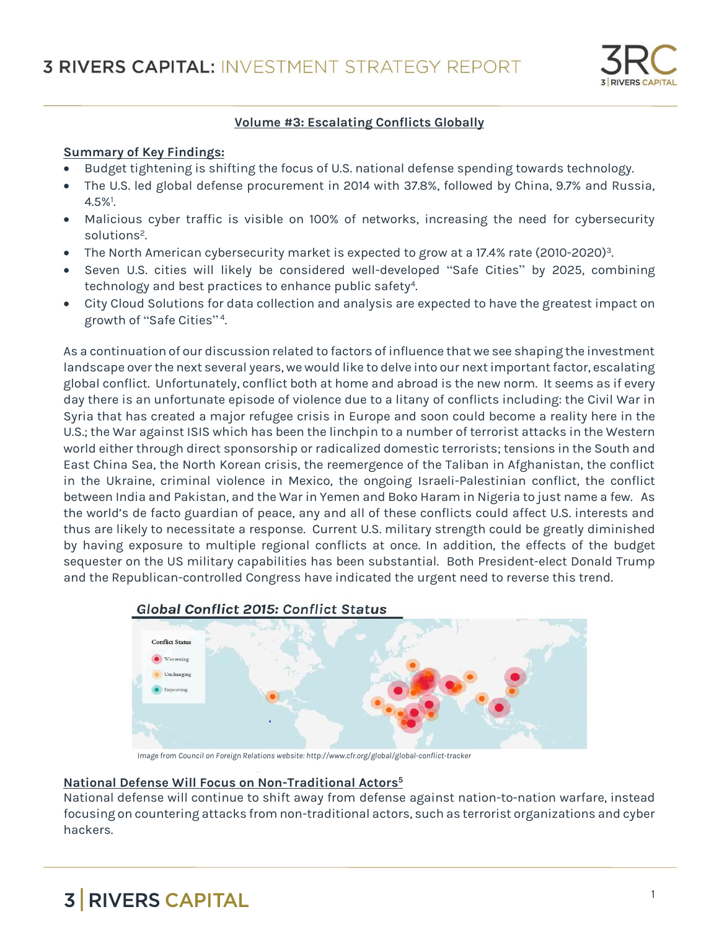

## **Volume #3: Escalating Conflicts Globally**

### **Summary of Key Findings:**

- Budget tightening is shifting the focus of U.S. national defense spending towards technology.
- The U.S. led global defense procurement in 2014 with 37.8%, followed by China, 9.7% and Russia,  $4.5\%$ <sup>1</sup> .
- Malicious cyber traffic is visible on 100% of networks, increasing the need for cybersecurity solutions<sup>2</sup>. .
- The North American cybersecurity market is expected to grow at a 17.4% rate (2010-2020)<sup>3</sup> .
- Seven U.S. cities will likely be considered well-developed "Safe Cities" by 2025, combining technology and best practices to enhance public safety<sup>4</sup>.
- City Cloud Solutions for data collection and analysis are expected to have the greatest impact on growth of "Safe Cities"<sup>4</sup>.

As a continuation of our discussion related to factors of influence that we see shaping the investment landscape over the next several years, we would like to delve into our next important factor, escalating global conflict. Unfortunately, conflict both at home and abroad is the new norm. It seems as if every day there is an unfortunate episode of violence due to a litany of conflicts including: the Civil War in Syria that has created a major refugee crisis in Europe and soon could become a reality here in the U.S.; the War against ISIS which has been the linchpin to a number of terrorist attacks in the Western world either through direct sponsorship or radicalized domestic terrorists; tensions in the South and East China Sea, the North Korean crisis, the reemergence of the Taliban in Afghanistan, the conflict in the Ukraine, criminal violence in Mexico, the ongoing Israeli-Palestinian conflict, the conflict between India and Pakistan, and the War in Yemen and Boko Haram in Nigeria to just name a few. As the world's de facto guardian of peace, any and all of these conflicts could affect U.S. interests and thus are likely to necessitate a response. Current U.S. military strength could be greatly diminished by having exposure to multiple regional conflicts at once. In addition, the effects of the budget sequester on the US military capabilities has been substantial. Both President-elect Donald Trump and the Republican-controlled Congress have indicated the urgent need to reverse this trend.



**Global Conflict 2015: Conflict Status** 

*Image from Council on Foreign Relations website: http://www.cfr.org/global/global-conflict-tracker*

### **National Defense Will Focus on Non-Traditional Actors<sup>5</sup>**

National defense will continue to shift away from defense against nation-to-nation warfare, instead focusing on countering attacks from non-traditional actors, such as terrorist organizations and cyber hackers.

# **3 RIVERS CAPITAL**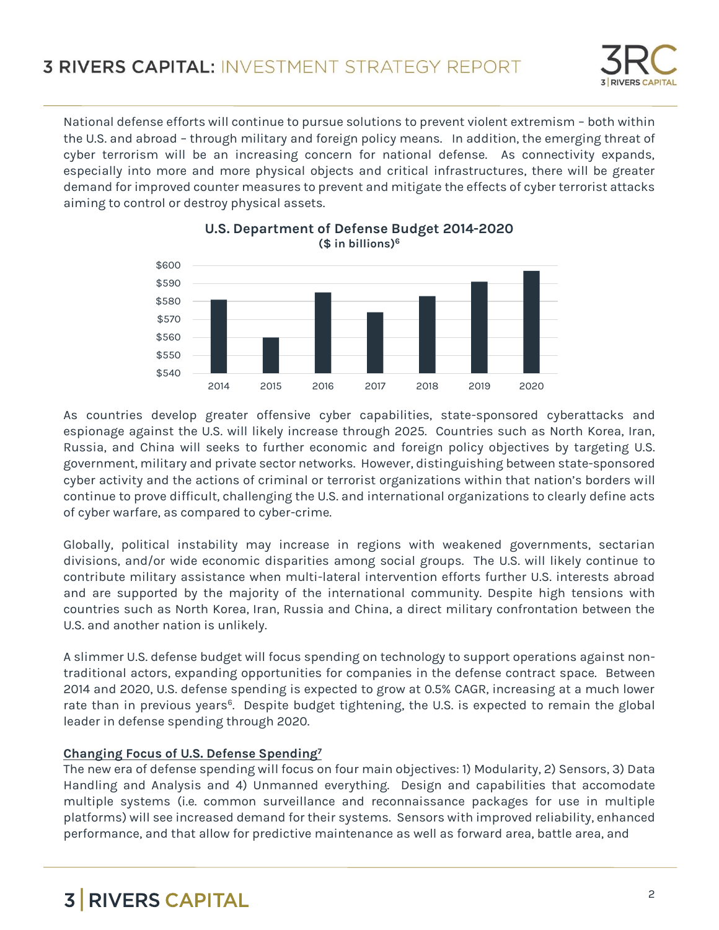

National defense efforts will continue to pursue solutions to prevent violent extremism – both within the U.S. and abroad – through military and foreign policy means. In addition, the emerging threat of cyber terrorism will be an increasing concern for national defense. As connectivity expands, especially into more and more physical objects and critical infrastructures, there will be greater demand for improved counter measures to prevent and mitigate the effects of cyber terrorist attacks aiming to control or destroy physical assets.





As countries develop greater offensive cyber capabilities, state-sponsored cyberattacks and espionage against the U.S. will likely increase through 2025. Countries such as North Korea, Iran, Russia, and China will seeks to further economic and foreign policy objectives by targeting U.S. government, military and private sector networks. However, distinguishing between state-sponsored cyber activity and the actions of criminal or terrorist organizations within that nation's borders will continue to prove difficult, challenging the U.S. and international organizations to clearly define acts of cyber warfare, as compared to cyber-crime.

Globally, political instability may increase in regions with weakened governments, sectarian divisions, and/or wide economic disparities among social groups. The U.S. will likely continue to contribute military assistance when multi-lateral intervention efforts further U.S. interests abroad and are supported by the majority of the international community. Despite high tensions with countries such as North Korea, Iran, Russia and China, a direct military confrontation between the U.S. and another nation is unlikely.

A slimmer U.S. defense budget will focus spending on technology to support operations against nontraditional actors, expanding opportunities for companies in the defense contract space. Between 2014 and 2020, U.S. defense spending is expected to grow at 0.5% CAGR, increasing at a much lower rate than in previous years<sup>6</sup>. Despite budget tightening, the U.S. is expected to remain the global leader in defense spending through 2020.

## **Changing Focus of U.S. Defense Spending<sup>7</sup>**

The new era of defense spending will focus on four main objectives: 1) Modularity, 2) Sensors, 3) Data Handling and Analysis and 4) Unmanned everything. Design and capabilities that accomodate multiple systems (i.e. common surveillance and reconnaissance packages for use in multiple platforms) will see increased demand for their systems. Sensors with improved reliability, enhanced performance, and that allow for predictive maintenance as well as forward area, battle area, and

# **3 RIVERS CAPITAL**